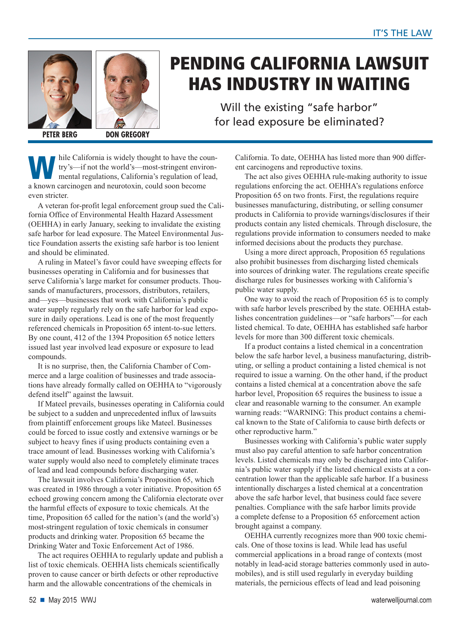



## **PENDING CALIFORNIA LAWSUIT HAS INDUSTRY IN WAITING**

**HAS INDUSTRY INDUSTRY INDUSTRY IN THE UP OF THE UP TO A THE UP OF THE UP OF THE UP OF THE UP OF THE UP OF THE UP OF THE UP OF THE UP OF THE UP OF THE UP OF THE UP OF THE UP OF THE UP OF THE UP OF THE UP OF THE UP OF THE U** for lead exposure be eliminated?

**PETER BERG DON GREGORY**

hile California is widely thought to have the coun-<br>try's—if not the world's—most-stringent environ-<br>mental regulations. California's regulation of lead. try's—if not the world's—most-stringent environmental regulations, California's regulation of lead, a known carcinogen and neurotoxin, could soon become even stricter.

A veteran for-profit legal enforcement group sued the California Office of Environmental Health Hazard Assessment (OEHHA) in early January, seeking to invalidate the existing safe harbor for lead exposure. The Mateel Environmental Justice Foundation asserts the existing safe harbor is too lenient and should be eliminated.

A ruling in Mateel's favor could have sweeping effects for businesses operating in California and for businesses that serve California's large market for consumer products. Thousands of manufacturers, processors, distributors, retailers, and—yes—businesses that work with California's public water supply regularly rely on the safe harbor for lead exposure in daily operations. Lead is one of the most frequently referenced chemicals in Proposition 65 intent-to-sue letters. By one count, 412 of the 1394 Proposition 65 notice letters issued last year involved lead exposure or exposure to lead compounds.

It is no surprise, then, the California Chamber of Commerce and a large coalition of businesses and trade associations have already formally called on OEHHA to "vigorously defend itself" against the lawsuit.

If Mateel prevails, businesses operating in California could be subject to a sudden and unprecedented influx of lawsuits from plaintiff enforcement groups like Mateel. Businesses could be forced to issue costly and extensive warnings or be subject to heavy fines if using products containing even a trace amount of lead. Businesses working with California's water supply would also need to completely eliminate traces of lead and lead compounds before discharging water.

The lawsuit involves California's Proposition 65, which was created in 1986 through a voter initiative. Proposition 65 echoed growing concern among the California electorate over the harmful effects of exposure to toxic chemicals. At the time, Proposition 65 called for the nation's (and the world's) most-stringent regulation of toxic chemicals in consumer products and drinking water. Proposition 65 became the Drinking Water and Toxic Enforcement Act of 1986.

The act requires OEHHA to regularly update and publish a list of toxic chemicals. OEHHA lists chemicals scientifically proven to cause cancer or birth defects or other reproductive harm and the allowable concentrations of the chemicals in

California. To date, OEHHA has listed more than 900 different carcinogens and reproductive toxins.

The act also gives OEHHA rule-making authority to issue regulations enforcing the act. OEHHA's regulations enforce Proposition 65 on two fronts. First, the regulations require businesses manufacturing, distributing, or selling consumer products in California to provide warnings/disclosures if their products contain any listed chemicals. Through disclosure, the regulations provide information to consumers needed to make informed decisions about the products they purchase.

Using a more direct approach, Proposition 65 regulations also prohibit businesses from discharging listed chemicals into sources of drinking water. The regulations create specific discharge rules for businesses working with California's public water supply.

One way to avoid the reach of Proposition 65 is to comply with safe harbor levels prescribed by the state. OEHHA establishes concentration guidelines—or "safe harbors"—for each listed chemical. To date, OEHHA has established safe harbor levels for more than 300 different toxic chemicals.

If a product contains a listed chemical in a concentration below the safe harbor level, a business manufacturing, distributing, or selling a product containing a listed chemical is not required to issue a warning. On the other hand, if the product contains a listed chemical at a concentration above the safe harbor level, Proposition 65 requires the business to issue a clear and reasonable warning to the consumer. An example warning reads: "WARNING: This product contains a chemical known to the State of California to cause birth defects or other reproductive harm."

Businesses working with California's public water supply must also pay careful attention to safe harbor concentration levels. Listed chemicals may only be discharged into California's public water supply if the listed chemical exists at a concentration lower than the applicable safe harbor. If a business intentionally discharges a listed chemical at a concentration above the safe harbor level, that business could face severe penalties. Compliance with the safe harbor limits provide a complete defense to a Proposition 65 enforcement action brought against a company.

OEHHA currently recognizes more than 900 toxic chemicals. One of those toxins is lead. While lead has useful commercial applications in a broad range of contexts (most notably in lead-acid storage batteries commonly used in automobiles), and is still used regularly in everyday building materials, the pernicious effects of lead and lead poisoning